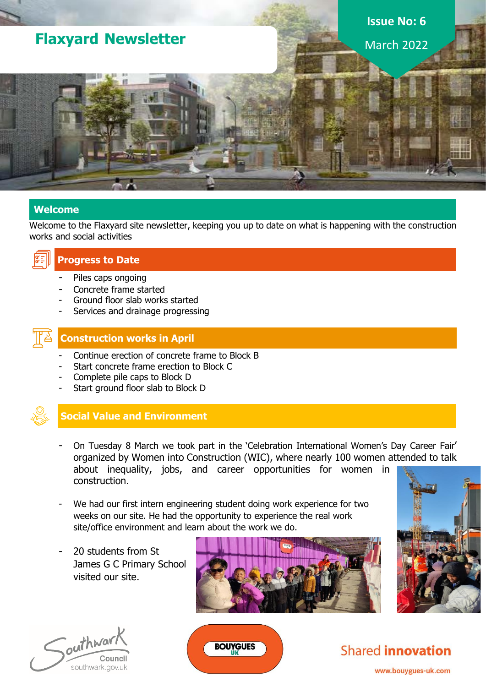# **Flaxyard Newsletter**

# **Issue No: 6** March 2022

#### **Welcome**

Welcome to the Flaxyard site newsletter, keeping you up to date on what is happening with the construction works and social activities



#### **Progress to Date**

- Piles caps ongoing
- Concrete frame started
- Ground floor slab works started
- Services and drainage progressing



#### **Construction works in April**

- Continue erection of concrete frame to Block B
- Start concrete frame erection to Block C
- Complete pile caps to Block D
- Start ground floor slab to Block D



### **Social Value and Environment**

- On Tuesday 8 March we took part in the 'Celebration International Women's Day Career Fair' organized by Women into Construction (WIC), where nearly 100 women attended to talk about inequality, jobs, and career opportunities for women in construction.
- We had our first intern engineering student doing work experience for two weeks on our site. He had the opportunity to experience the real work site/office environment and learn about the work we do.

**BOUYGUES** 

20 students from St James G C Primary School visited our site.









www.bouygues-uk.com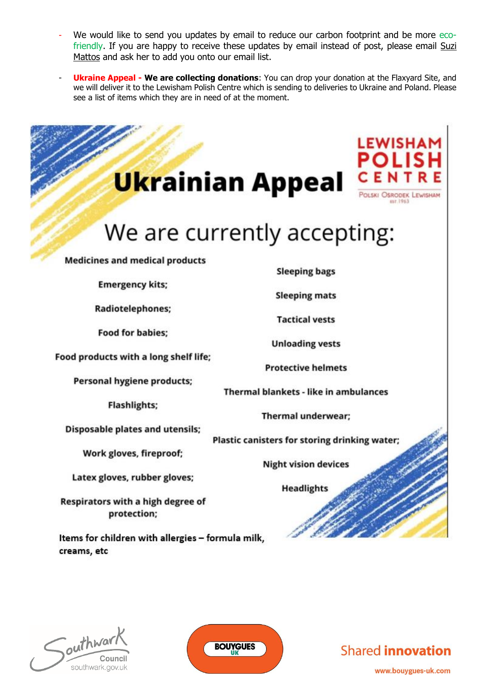- We would like to send you updates by email to reduce our carbon footprint and be more ecofriendly. If you are happy to receive these updates by email instead of post, please email Suzi Mattos and ask her to add you onto our email list.
- **Ukraine Appeal - We are collecting donations**: You can drop your donation at the Flaxyard Site, and we will deliver it to the Lewisham Polish Centre which is sending to deliveries to Ukraine and Poland. Please see a list of items which they are in need of at the moment.

| <b>Ukrainian Appeal</b>                                          | <b>LEWISHAM</b><br>POLISI<br><b>CEN</b><br>POLSKI OSRODEK LEWISHAM  |  |
|------------------------------------------------------------------|---------------------------------------------------------------------|--|
| We are currently accepting:                                      |                                                                     |  |
| <b>Medicines and medical products</b><br><b>Emergency kits;</b>  | <b>Sleeping bags</b>                                                |  |
| Radiotelephones;                                                 | <b>Sleeping mats</b><br><b>Tactical vests</b>                       |  |
| <b>Food for babies;</b><br>Food products with a long shelf life; | <b>Unloading vests</b><br><b>Protective helmets</b>                 |  |
| <b>Personal hygiene products;</b><br><b>Flashlights;</b>         | Thermal blankets - like in ambulances                               |  |
| <b>Disposable plates and utensils;</b>                           | Thermal underwear;<br>Plastic canisters for storing drinking water; |  |
| Work gloves, fireproof;<br>Latex gloves, rubber gloves;          | <b>Night vision devices</b>                                         |  |
| Respirators with a high degree of<br>protection;                 | <b>Headlights</b>                                                   |  |
| Items for children with allergies - formula milk,<br>creams, etc |                                                                     |  |
|                                                                  |                                                                     |  |

 $\int_{\text{out}}^{\text{in}}$ Council southwark.gov.uk



## **Shared innovation**

www.bouygues-uk.com